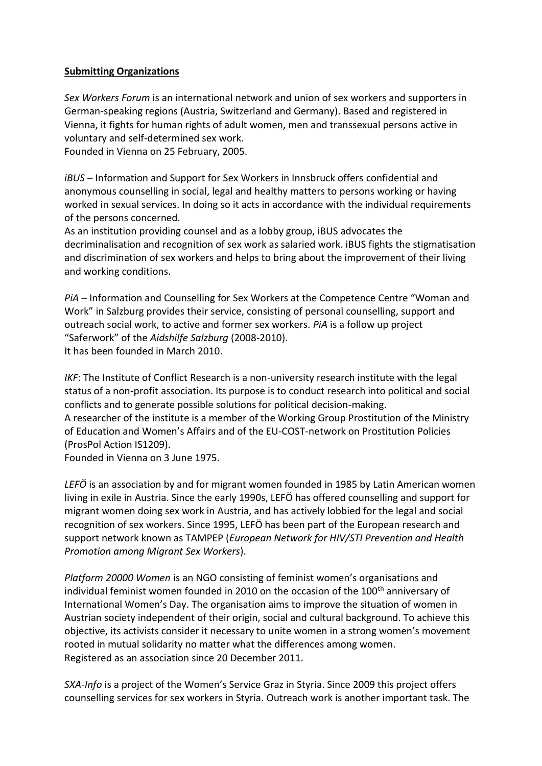## **Submitting Organizations**

*Sex Workers Forum* is an international network and union of sex workers and supporters in German-speaking regions (Austria, Switzerland and Germany). Based and registered in Vienna, it fights for human rights of adult women, men and transsexual persons active in voluntary and self-determined sex work.

Founded in Vienna on 25 February, 2005.

*iBUS* – Information and Support for Sex Workers in Innsbruck offers confidential and anonymous counselling in social, legal and healthy matters to persons working or having worked in sexual services. In doing so it acts in accordance with the individual requirements of the persons concerned.

As an institution providing counsel and as a lobby group, iBUS advocates the decriminalisation and recognition of sex work as salaried work. iBUS fights the stigmatisation and discrimination of sex workers and helps to bring about the improvement of their living and working conditions.

*PiA* – Information and Counselling for Sex Workers at the Competence Centre "Woman and Work" in Salzburg provides their service, consisting of personal counselling, support and outreach social work, to active and former sex workers. *PiA* is a follow up project "Saferwork" of the *Aidshilfe Salzburg* (2008-2010). It has been founded in March 2010.

*IKF*: The Institute of Conflict Research is a non-university research institute with the legal status of a non-profit association. Its purpose is to conduct research into political and social conflicts and to generate possible solutions for political decision-making. A researcher of the institute is a member of the Working Group Prostitution of the Ministry of Education and Women's Affairs and of the EU-COST-network on Prostitution Policies (ProsPol Action IS1209).

Founded in Vienna on 3 June 1975.

*LEFÖ* is an association by and for migrant women founded in 1985 by Latin American women living in exile in Austria. Since the early 1990s, LEFÖ has offered counselling and support for migrant women doing sex work in Austria, and has actively lobbied for the legal and social recognition of sex workers. Since 1995, LEFÖ has been part of the European research and support network known as TAMPEP (*European Network for HIV/STI Prevention and Health Promotion among Migrant Sex Workers*).

*Platform 20000 Women* is an NGO consisting of feminist women's organisations and individual feminist women founded in 2010 on the occasion of the 100<sup>th</sup> anniversary of International Women's Day. The organisation aims to improve the situation of women in Austrian society independent of their origin, social and cultural background. To achieve this objective, its activists consider it necessary to unite women in a strong women's movement rooted in mutual solidarity no matter what the differences among women. Registered as an association since 20 December 2011.

*SXA-Info* is a project of the Women's Service Graz in Styria. Since 2009 this project offers counselling services for sex workers in Styria. Outreach work is another important task. The